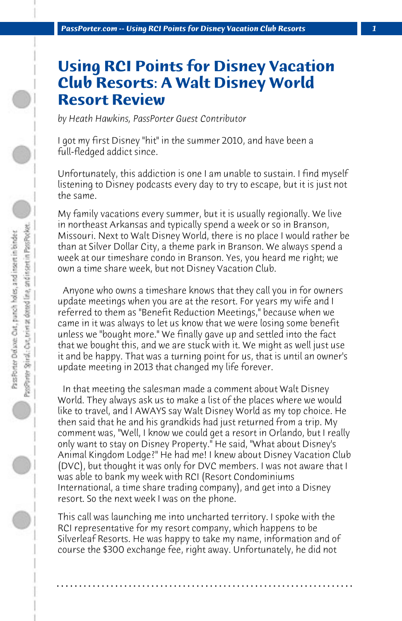## **Using RCI Points for Disney Vacation Club Resorts: A Walt Disney World Resort Review**

*by Heath Hawkins, PassPorter Guest Contributor*

I got my first Disney "hit" in the summer 2010, and have been a full-fledged addict since.

Unfortunately, this addiction is one I am unable to sustain. I find myself listening to Disney podcasts every day to try to escape, but it is just not the same.

My family vacations every summer, but it is usually regionally. We live in northeast Arkansas and typically spend a week or so in Branson, Missouri. Next to Walt Disney World, there is no place I would rather be than at Silver Dollar City, a theme park in Branson. We always spend a week at our timeshare condo in Branson. Yes, you heard me right; we own a time share week, but not Disney Vacation Club.

 Anyone who owns a timeshare knows that they call you in for owners update meetings when you are at the resort. For years my wife and I referred to them as "Benefit Reduction Meetings," because when we came in it was always to let us know that we were losing some benefit unless we "bought more." We finally gave up and settled into the fact that we bought this, and we are stuck with it. We might as well just use it and be happy. That was a turning point for us, that is until an owner's update meeting in 2013 that changed my life forever.

 In that meeting the salesman made a comment about Walt Disney World. They always ask us to make a list of the places where we would like to travel, and I AWAYS say Walt Disney World as my top choice. He then said that he and his grandkids had just returned from a trip. My comment was, "Well, I know we could get a resort in Orlando, but I really only want to stay on Disney Property." He said, "What about Disney's Animal Kingdom Lodge?" He had me! I knew about Disney Vacation Club (DVC), but thought it was only for DVC members. I was not aware that I was able to bank my week with RCI (Resort Condominiums International, a time share trading company), and get into a Disney resort. So the next week I was on the phone.

This call was launching me into uncharted territory. I spoke with the RCI representative for my resort company, which happens to be Silverleaf Resorts. He was happy to take my name, information and of course the \$300 exchange fee, right away. Unfortunately, he did not

**. . . . . . . . . . . . . . . . . . . . . . . . . . . . . . . . . . . . . . . . . . . . . . . . . . . . . . . . . . . . . . . . . .**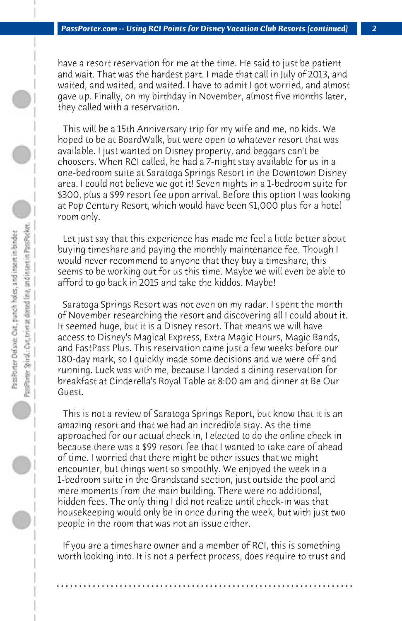have a resort reservation for me at the time. He said to just be patient and wait. That was the hardest part. I made that call in July of 2013, and waited, and waited, and waited. I have to admit I got worried, and almost gave up. Finally, on my birthday in November, almost five months later, they called with a reservation.

 This will be a 15th Anniversary trip for my wife and me, no kids. We hoped to be at BoardWalk, but were open to whatever resort that was available. I just wanted on Disney property, and beggars can't be choosers. When RCI called, he had a 7-night stay available for us in a one-bedroom suite at Saratoga Springs Resort in the Downtown Disney area. I could not believe we got it! Seven nights in a 1-bedroom suite for \$300, plus a \$99 resort fee upon arrival. Before this option I was looking at Pop Century Resort, which would have been \$1,000 plus for a hotel room only.

 Let just say that this experience has made me feel a little better about buying timeshare and paying the monthly maintenance fee. Though I would never recommend to anyone that they buy a timeshare, this seems to be working out for us this time. Maybe we will even be able to afford to go back in 2015 and take the kiddos. Maybe!

 Saratoga Springs Resort was not even on my radar. I spent the month of November researching the resort and discovering all I could about it. It seemed huge, but it is a Disney resort. That means we will have access to Disney's Magical Express, Extra Magic Hours, Magic Bands, and FastPass Plus. This reservation came just a few weeks before our 180-day mark, so I quickly made some decisions and we were off and running. Luck was with me, because I landed a dining reservation for breakfast at Cinderella's Royal Table at 8:00 am and dinner at Be Our Guest.

 This is not a review of Saratoga Springs Report, but know that it is an amazing resort and that we had an incredible stay. As the time approached for our actual check in, I elected to do the online check in because there was a \$99 resort fee that I wanted to take care of ahead of time. I worried that there might be other issues that we might encounter, but things went so smoothly. We enjoyed the week in a 1-bedroom suite in the Grandstand section, just outside the pool and mere moments from the main building. There were no additional, hidden fees. The only thing I did not realize until check-in was that housekeeping would only be in once during the week, but with just two people in the room that was not an issue either.

 If you are a timeshare owner and a member of RCI, this is something worth looking into. It is not a perfect process, does require to trust and

**. . . . . . . . . . . . . . . . . . . . . . . . . . . . . . . . . . . . . . . . . . . . . . . . . . . . . . . . . . . . . . . . . .**